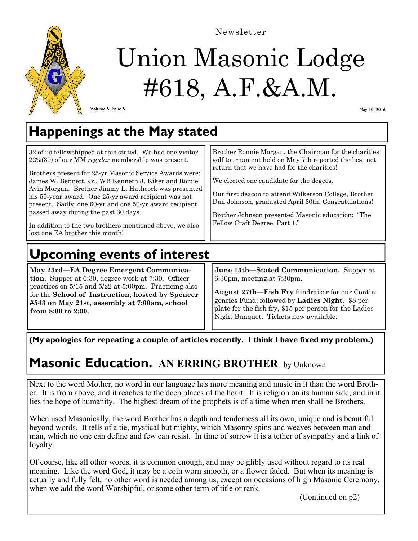

Newsletter

# Union Masonic Lodge #618, A.F.&A.M.

Volume 5, Issue 5

May 10, 2016

## **Happenings at the May stated**

| 32 of us fellowshipped at this stated. We had one visitor.<br>$22\%(30)$ of our MM regular membership was present.<br>Brothers present for 25-yr Masonic Service Awards were:<br>James W. Bennett, Jr., WB Kenneth J. Kiker and Romie<br>Avin Morgan. Brother Jimmy L. Hathcock was presented<br>his 50-year award. One 25-yr award recipient was not<br>present. Sadly, one 60-yr and one 50-yr award recipient<br>passed away during the past 30 days.<br>In addition to the two brothers mentioned above, we also<br>l lost one EA brother this month! | Brother Ronnie Morgan, the Chairman for the charities<br>golf tournament held on May 7th reported the best net<br>return that we have had for the charities!<br>We elected one candidate for the degees.<br>Our first deacon to attend Wilkerson College, Brother<br>Dan Johnson, graduated April 30th. Congratulations!<br>Brother Johnson presented Masonic education: "The<br>Fellow Craft Degree, Part 1." |  |  |
|-----------------------------------------------------------------------------------------------------------------------------------------------------------------------------------------------------------------------------------------------------------------------------------------------------------------------------------------------------------------------------------------------------------------------------------------------------------------------------------------------------------------------------------------------------------|----------------------------------------------------------------------------------------------------------------------------------------------------------------------------------------------------------------------------------------------------------------------------------------------------------------------------------------------------------------------------------------------------------------|--|--|
| <b>Upcoming events of interest</b>                                                                                                                                                                                                                                                                                                                                                                                                                                                                                                                        |                                                                                                                                                                                                                                                                                                                                                                                                                |  |  |

**May 23rd—EA Degree Emergent Communication.** Supper at 6:30, degree work at 7:30. Officer practices on 5/15 and 5/22 at 5:00pm. Practicing also for the **School of Instruction, hosted by Spencer #543 on May 21st, assembly at 7:00am, school from 8:00 to 2:00.** 

**June 13th—Stated Communication.** Supper at 6:30pm, meeting at 7:30pm.

**August 27th—Fish Fry** fundraiser for our Contingencies Fund; followed by **Ladies Night.** \$8 per plate for the fish fry, \$15 per person for the Ladies Night Banquet. Tickets now available.

**(My apologies for repeating a couple of articles recently. I think I have fixed my problem.)** 

### **Masonic Education. AN ERRING BROTHER** by Unknown

Next to the word Mother, no word in our language has more meaning and music in it than the word Brother. It is from above, and it reaches to the deep places of the heart. It is religion on its human side; and in it lies the hope of humanity. The highest dream of the prophets is of a time when men shall be Brothers.

When used Masonically, the word Brother has a depth and tenderness all its own, unique and is beautiful beyond words. It tells of a tie, mystical but mighty, which Masonry spins and weaves between man and man, which no one can define and few can resist. In time of sorrow it is a tether of sympathy and a link of loyalty.

Of course, like all other words, it is common enough, and may be glibly used without regard to its real meaning. Like the word God, it may be a coin worn smooth, or a flower faded. But when its meaning is actually and fully felt, no other word is needed among us, except on occasions of high Masonic Ceremony, when we add the word Worshipful, or some other term of title or rank.

(Continued on p2)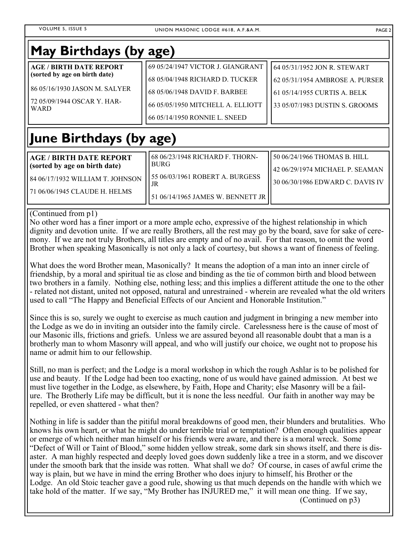| May Birthdays (by age)                                                                                                                                                                                                                                                                                                                                                                                                                                                                                                                                                                                                                                                                                                                                                                                                                                                                                                                                                                                                                                                                                                                                                                                                                                                                                                                                                                                                                                                                                                                                                                                                      |                                                |                                                                 |  |
|-----------------------------------------------------------------------------------------------------------------------------------------------------------------------------------------------------------------------------------------------------------------------------------------------------------------------------------------------------------------------------------------------------------------------------------------------------------------------------------------------------------------------------------------------------------------------------------------------------------------------------------------------------------------------------------------------------------------------------------------------------------------------------------------------------------------------------------------------------------------------------------------------------------------------------------------------------------------------------------------------------------------------------------------------------------------------------------------------------------------------------------------------------------------------------------------------------------------------------------------------------------------------------------------------------------------------------------------------------------------------------------------------------------------------------------------------------------------------------------------------------------------------------------------------------------------------------------------------------------------------------|------------------------------------------------|-----------------------------------------------------------------|--|
| <b>AGE / BIRTH DATE REPORT</b><br>(sorted by age on birth date)                                                                                                                                                                                                                                                                                                                                                                                                                                                                                                                                                                                                                                                                                                                                                                                                                                                                                                                                                                                                                                                                                                                                                                                                                                                                                                                                                                                                                                                                                                                                                             | 69 05/24/1947 VICTOR J. GIANGRANT              | 64 05/31/1952 JON R. STEWART                                    |  |
|                                                                                                                                                                                                                                                                                                                                                                                                                                                                                                                                                                                                                                                                                                                                                                                                                                                                                                                                                                                                                                                                                                                                                                                                                                                                                                                                                                                                                                                                                                                                                                                                                             | 68 05/04/1948 RICHARD D. TUCKER                | 62 05/31/1954 AMBROSE A. PURSER                                 |  |
| 86 05/16/1930 JASON M. SALYER                                                                                                                                                                                                                                                                                                                                                                                                                                                                                                                                                                                                                                                                                                                                                                                                                                                                                                                                                                                                                                                                                                                                                                                                                                                                                                                                                                                                                                                                                                                                                                                               | 68 05/06/1948 DAVID F. BARBEE                  | 61 05/14/1955 CURTIS A. BELK                                    |  |
| 72 05/09/1944 OSCAR Y. HAR-<br><b>WARD</b>                                                                                                                                                                                                                                                                                                                                                                                                                                                                                                                                                                                                                                                                                                                                                                                                                                                                                                                                                                                                                                                                                                                                                                                                                                                                                                                                                                                                                                                                                                                                                                                  | 66 05/05/1950 MITCHELL A. ELLIOTT              | 33 05/07/1983 DUSTIN S. GROOMS                                  |  |
|                                                                                                                                                                                                                                                                                                                                                                                                                                                                                                                                                                                                                                                                                                                                                                                                                                                                                                                                                                                                                                                                                                                                                                                                                                                                                                                                                                                                                                                                                                                                                                                                                             | 66 05/14/1950 RONNIE L. SNEED                  |                                                                 |  |
| June Birthdays (by age)                                                                                                                                                                                                                                                                                                                                                                                                                                                                                                                                                                                                                                                                                                                                                                                                                                                                                                                                                                                                                                                                                                                                                                                                                                                                                                                                                                                                                                                                                                                                                                                                     |                                                |                                                                 |  |
| <b>AGE / BIRTH DATE REPORT</b><br>(sorted by age on birth date)                                                                                                                                                                                                                                                                                                                                                                                                                                                                                                                                                                                                                                                                                                                                                                                                                                                                                                                                                                                                                                                                                                                                                                                                                                                                                                                                                                                                                                                                                                                                                             | 68 06/23/1948 RICHARD F. THORN-<br><b>BURG</b> | 50 06/24/1966 THOMAS B. HILL<br>42 06/29/1974 MICHAEL P. SEAMAN |  |
| 84 06/17/1932 WILLIAM T. JOHNSON                                                                                                                                                                                                                                                                                                                                                                                                                                                                                                                                                                                                                                                                                                                                                                                                                                                                                                                                                                                                                                                                                                                                                                                                                                                                                                                                                                                                                                                                                                                                                                                            | 55 06/03/1961 ROBERT A. BURGESS                | 30 06/30/1986 EDWARD C. DAVIS IV                                |  |
| 71 06/06/1945 CLAUDE H. HELMS                                                                                                                                                                                                                                                                                                                                                                                                                                                                                                                                                                                                                                                                                                                                                                                                                                                                                                                                                                                                                                                                                                                                                                                                                                                                                                                                                                                                                                                                                                                                                                                               | JR                                             |                                                                 |  |
|                                                                                                                                                                                                                                                                                                                                                                                                                                                                                                                                                                                                                                                                                                                                                                                                                                                                                                                                                                                                                                                                                                                                                                                                                                                                                                                                                                                                                                                                                                                                                                                                                             | 51 06/14/1965 JAMES W. BENNETT JR              |                                                                 |  |
| No other word has a finer import or a more ample echo, expressive of the highest relationship in which<br>dignity and devotion unite. If we are really Brothers, all the rest may go by the board, save for sake of cere-<br>mony. If we are not truly Brothers, all titles are empty and of no avail. For that reason, to omit the word<br>Brother when speaking Masonically is not only a lack of courtesy, but shows a want of fineness of feeling.<br>What does the word Brother mean, Masonically? It means the adoption of a man into an inner circle of<br>friendship, by a moral and spiritual tie as close and binding as the tie of common birth and blood between<br>two brothers in a family. Nothing else, nothing less; and this implies a different attitude the one to the other<br>- related not distant, united not opposed, natural and unrestrained - wherein are revealed what the old writers<br>used to call "The Happy and Beneficial Effects of our Ancient and Honorable Institution."<br>Since this is so, surely we ought to exercise as much caution and judgment in bringing a new member into<br>the Lodge as we do in inviting an outsider into the family circle. Carelessness here is the cause of most of<br>our Masonic ills, frictions and griefs. Unless we are assured beyond all reasonable doubt that a man is a<br>brotherly man to whom Masonry will appeal, and who will justify our choice, we ought not to propose his<br>name or admit him to our fellowship.<br>Still, no man is perfect; and the Lodge is a moral workshop in which the rough Ashlar is to be polished for |                                                |                                                                 |  |
| use and beauty. If the Lodge had been too exacting, none of us would have gained admission. At best we<br>must live together in the Lodge, as elsewhere, by Faith, Hope and Charity; else Masonry will be a fail-<br>ure. The Brotherly Life may be difficult, but it is none the less needful. Our faith in another way may be<br>repelled, or even shattered - what then?                                                                                                                                                                                                                                                                                                                                                                                                                                                                                                                                                                                                                                                                                                                                                                                                                                                                                                                                                                                                                                                                                                                                                                                                                                                 |                                                |                                                                 |  |
| Nothing in life is sadder than the pitiful moral breakdowns of good men, their blunders and brutalities. Who<br>knows his own heart, or what he might do under terrible trial or temptation? Often enough qualities appear<br>or emerge of which neither man himself or his friends were aware, and there is a moral wreck. Some<br>"Defect of Will or Taint of Blood," some hidden yellow streak, some dark sin shows itself, and there is dis-<br>aster. A man highly respected and deeply loved goes down suddenly like a tree in a storm, and we discover<br>under the smooth bark that the inside was rotten. What shall we do? Of course, in cases of awful crime the<br>way is plain, but we have in mind the erring Brother who does injury to himself, his Brother or the<br>Lodge. An old Stoic teacher gave a good rule, showing us that much depends on the handle with which we<br>take hold of the matter. If we say, "My Brother has INJURED me," it will mean one thing. If we say,<br>(Continued on p3)                                                                                                                                                                                                                                                                                                                                                                                                                                                                                                                                                                                                    |                                                |                                                                 |  |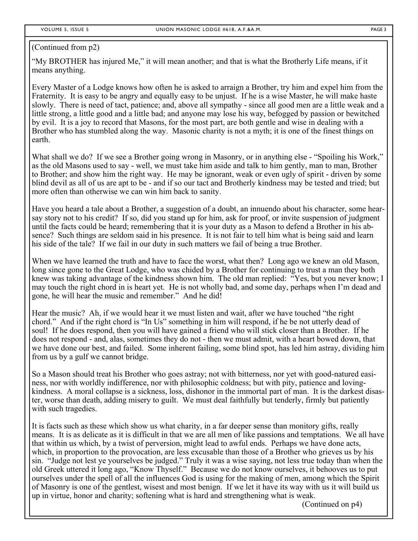#### (Continued from p2)

"My BROTHER has injured Me," it will mean another; and that is what the Brotherly Life means, if it means anything.

Every Master of a Lodge knows how often he is asked to arraign a Brother, try him and expel him from the Fraternity. It is easy to be angry and equally easy to be unjust. If he is a wise Master, he will make haste slowly. There is need of tact, patience; and, above all sympathy - since all good men are a little weak and a little strong, a little good and a little bad; and anyone may lose his way, befogged by passion or bewitched by evil. It is a joy to record that Masons, for the most part, are both gentle and wise in dealing with a Brother who has stumbled along the way. Masonic charity is not a myth; it is one of the finest things on earth.

What shall we do? If we see a Brother going wrong in Masonry, or in anything else - "Spoiling his Work," as the old Masons used to say - well, we must take him aside and talk to him gently, man to man, Brother to Brother; and show him the right way. He may be ignorant, weak or even ugly of spirit - driven by some blind devil as all of us are apt to be - and if so our tact and Brotherly kindness may be tested and tried; but more often than otherwise we can win him back to sanity.

Have you heard a tale about a Brother, a suggestion of a doubt, an innuendo about his character, some hearsay story not to his credit? If so, did you stand up for him, ask for proof, or invite suspension of judgment until the facts could be heard; remembering that it is your duty as a Mason to defend a Brother in his absence? Such things are seldom said in his presence. It is not fair to tell him what is being said and learn his side of the tale? If we fail in our duty in such matters we fail of being a true Brother.

When we have learned the truth and have to face the worst, what then? Long ago we knew an old Mason, long since gone to the Great Lodge, who was chided by a Brother for continuing to trust a man they both knew was taking advantage of the kindness shown him. The old man replied: "Yes, but you never know; I may touch the right chord in is heart yet. He is not wholly bad, and some day, perhaps when I'm dead and gone, he will hear the music and remember." And he did!

Hear the music? Ah, if we would hear it we must listen and wait, after we have touched "the right chord." And if the right chord is "In Us" something in him will respond, if he be not utterly dead of soul! If he does respond, then you will have gained a friend who will stick closer than a Brother. If he does not respond - and, alas, sometimes they do not - then we must admit, with a heart bowed down, that we have done our best, and failed. Some inherent failing, some blind spot, has led him astray, dividing him from us by a gulf we cannot bridge.

So a Mason should treat his Brother who goes astray; not with bitterness, nor yet with good-natured easiness, nor with worldly indifference, nor with philosophic coldness; but with pity, patience and lovingkindness. A moral collapse is a sickness, loss, dishonor in the immortal part of man. It is the darkest disaster, worse than death, adding misery to guilt. We must deal faithfully but tenderly, firmly but patiently with such tragedies.

It is facts such as these which show us what charity, in a far deeper sense than monitory gifts, really means. It is as delicate as it is difficult in that we are all men of like passions and temptations. We all have that within us which, by a twist of perversion, might lead to awful ends. Perhaps we have done acts, which, in proportion to the provocation, are less excusable than those of a Brother who grieves us by his sin. "Judge not lest ye yourselves be judged." Truly it was a wise saying, not less true today than when the old Greek uttered it long ago, "Know Thyself." Because we do not know ourselves, it behooves us to put ourselves under the spell of all the influences God is using for the making of men, among which the Spirit of Masonry is one of the gentlest, wisest and most benign. If we let it have its way with us it will build us up in virtue, honor and charity; softening what is hard and strengthening what is weak.

(Continued on p4)